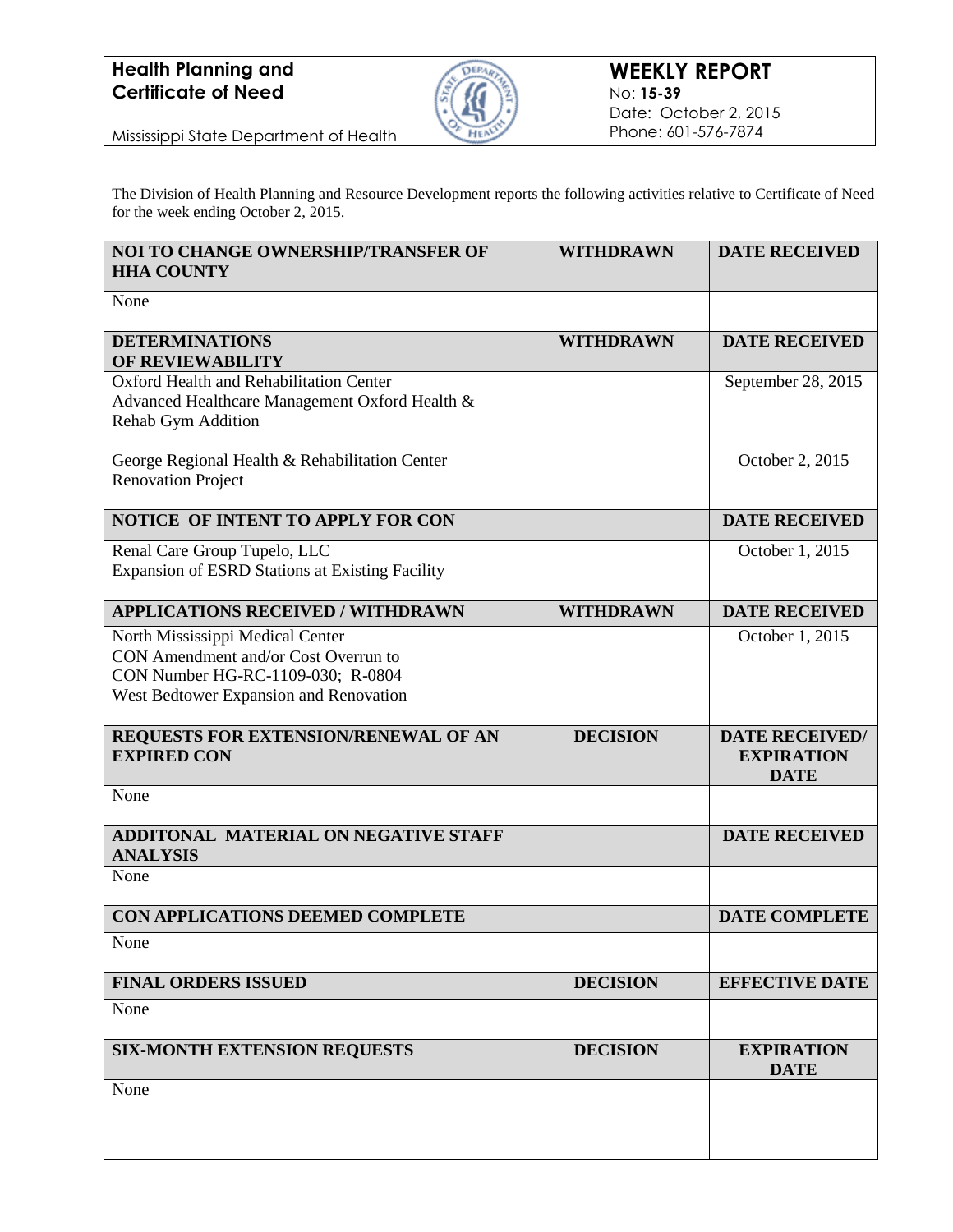

Mississippi State Department of Health

The Division of Health Planning and Resource Development reports the following activities relative to Certificate of Need for the week ending October 2, 2015.

| <b>NOI TO CHANGE OWNERSHIP/TRANSFER OF</b><br><b>HHA COUNTY</b>                        | <b>WITHDRAWN</b> | <b>DATE RECEIVED</b>             |
|----------------------------------------------------------------------------------------|------------------|----------------------------------|
| None                                                                                   |                  |                                  |
| <b>DETERMINATIONS</b><br><b>OF REVIEWABILITY</b>                                       | <b>WITHDRAWN</b> | <b>DATE RECEIVED</b>             |
| Oxford Health and Rehabilitation Center                                                |                  | September 28, 2015               |
| Advanced Healthcare Management Oxford Health &<br>Rehab Gym Addition                   |                  |                                  |
| George Regional Health & Rehabilitation Center                                         |                  | October 2, 2015                  |
| <b>Renovation Project</b>                                                              |                  |                                  |
| NOTICE OF INTENT TO APPLY FOR CON                                                      |                  | <b>DATE RECEIVED</b>             |
| Renal Care Group Tupelo, LLC<br><b>Expansion of ESRD Stations at Existing Facility</b> |                  | October 1, 2015                  |
|                                                                                        |                  |                                  |
| <b>APPLICATIONS RECEIVED / WITHDRAWN</b>                                               | <b>WITHDRAWN</b> | <b>DATE RECEIVED</b>             |
| North Mississippi Medical Center                                                       |                  | October 1, 2015                  |
| CON Amendment and/or Cost Overrun to<br>CON Number HG-RC-1109-030; R-0804              |                  |                                  |
| West Bedtower Expansion and Renovation                                                 |                  |                                  |
|                                                                                        |                  |                                  |
| REQUESTS FOR EXTENSION/RENEWAL OF AN                                                   | <b>DECISION</b>  | <b>DATE RECEIVED/</b>            |
| <b>EXPIRED CON</b>                                                                     |                  | <b>EXPIRATION</b><br><b>DATE</b> |
| None                                                                                   |                  |                                  |
| ADDITONAL MATERIAL ON NEGATIVE STAFF                                                   |                  | <b>DATE RECEIVED</b>             |
| <b>ANALYSIS</b>                                                                        |                  |                                  |
| None                                                                                   |                  |                                  |
| <b>CON APPLICATIONS DEEMED COMPLETE</b>                                                |                  | <b>DATE COMPLETE</b>             |
| None                                                                                   |                  |                                  |
| <b>FINAL ORDERS ISSUED</b>                                                             | <b>DECISION</b>  | <b>EFFECTIVE DATE</b>            |
| None                                                                                   |                  |                                  |
| <b>SIX-MONTH EXTENSION REQUESTS</b>                                                    | <b>DECISION</b>  | <b>EXPIRATION</b><br><b>DATE</b> |
| None                                                                                   |                  |                                  |
|                                                                                        |                  |                                  |
|                                                                                        |                  |                                  |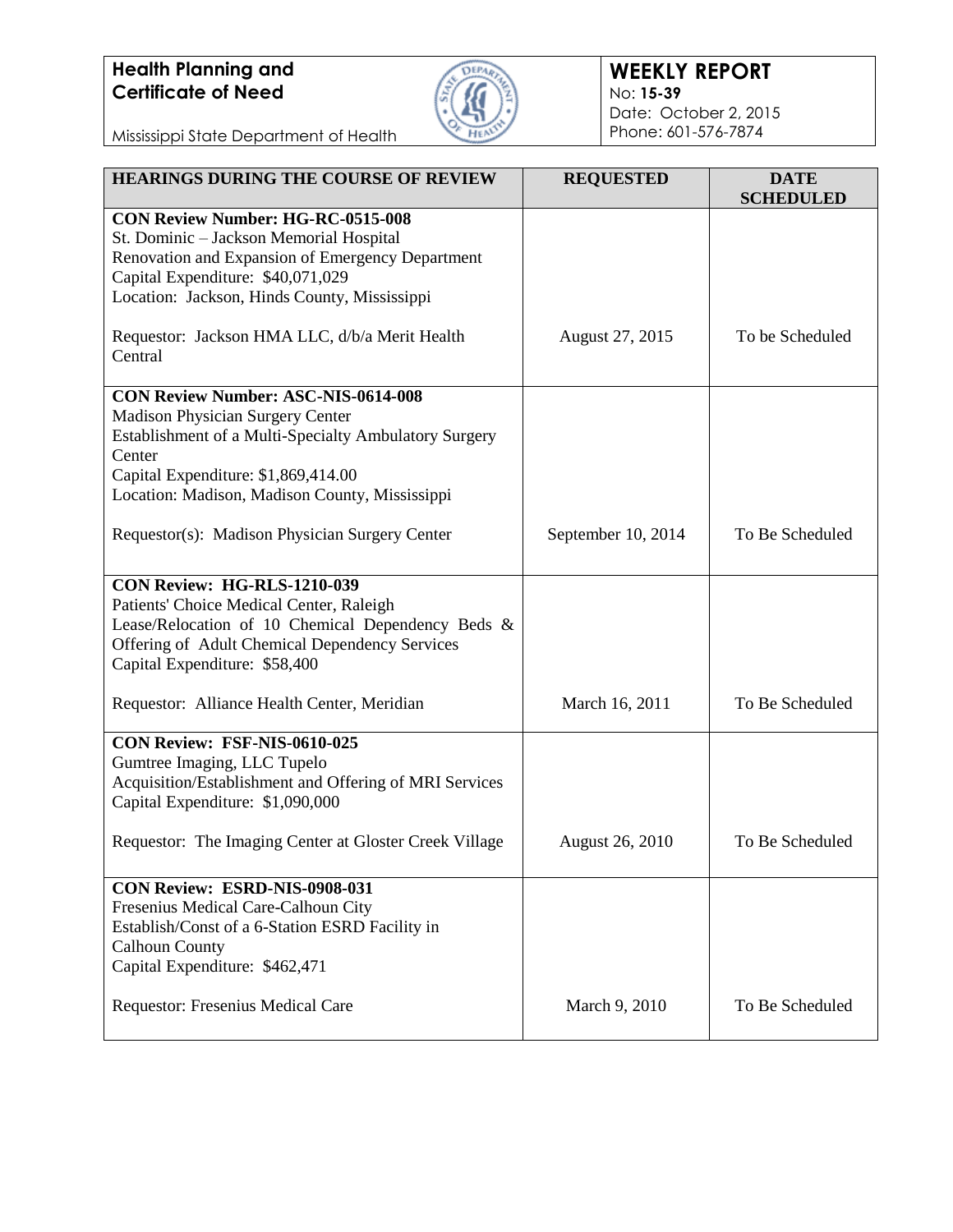

#### **WEEKLY REPORT** No: **15-39** Date: October 2, 2015 Phone: 601-576-7874

Mississippi State Department of Health

| <b>HEARINGS DURING THE COURSE OF REVIEW</b>                                                                                                                                                                                                | <b>REQUESTED</b>   | <b>DATE</b><br><b>SCHEDULED</b> |
|--------------------------------------------------------------------------------------------------------------------------------------------------------------------------------------------------------------------------------------------|--------------------|---------------------------------|
| <b>CON Review Number: HG-RC-0515-008</b><br>St. Dominic - Jackson Memorial Hospital<br>Renovation and Expansion of Emergency Department<br>Capital Expenditure: \$40,071,029<br>Location: Jackson, Hinds County, Mississippi               |                    |                                 |
| Requestor: Jackson HMA LLC, d/b/a Merit Health<br>Central                                                                                                                                                                                  | August 27, 2015    | To be Scheduled                 |
| <b>CON Review Number: ASC-NIS-0614-008</b><br>Madison Physician Surgery Center<br>Establishment of a Multi-Specialty Ambulatory Surgery<br>Center<br>Capital Expenditure: \$1,869,414.00<br>Location: Madison, Madison County, Mississippi |                    |                                 |
| Requestor(s): Madison Physician Surgery Center                                                                                                                                                                                             | September 10, 2014 | To Be Scheduled                 |
| CON Review: HG-RLS-1210-039<br>Patients' Choice Medical Center, Raleigh<br>Lease/Relocation of 10 Chemical Dependency Beds &<br>Offering of Adult Chemical Dependency Services<br>Capital Expenditure: \$58,400                            |                    |                                 |
| Requestor: Alliance Health Center, Meridian                                                                                                                                                                                                | March 16, 2011     | To Be Scheduled                 |
| CON Review: FSF-NIS-0610-025<br>Gumtree Imaging, LLC Tupelo<br>Acquisition/Establishment and Offering of MRI Services<br>Capital Expenditure: \$1,090,000                                                                                  |                    |                                 |
| Requestor: The Imaging Center at Gloster Creek Village                                                                                                                                                                                     | August 26, 2010    | To Be Scheduled                 |
| <b>CON Review: ESRD-NIS-0908-031</b><br>Fresenius Medical Care-Calhoun City<br>Establish/Const of a 6-Station ESRD Facility in<br><b>Calhoun County</b><br>Capital Expenditure: \$462,471                                                  |                    |                                 |
| Requestor: Fresenius Medical Care                                                                                                                                                                                                          | March 9, 2010      | To Be Scheduled                 |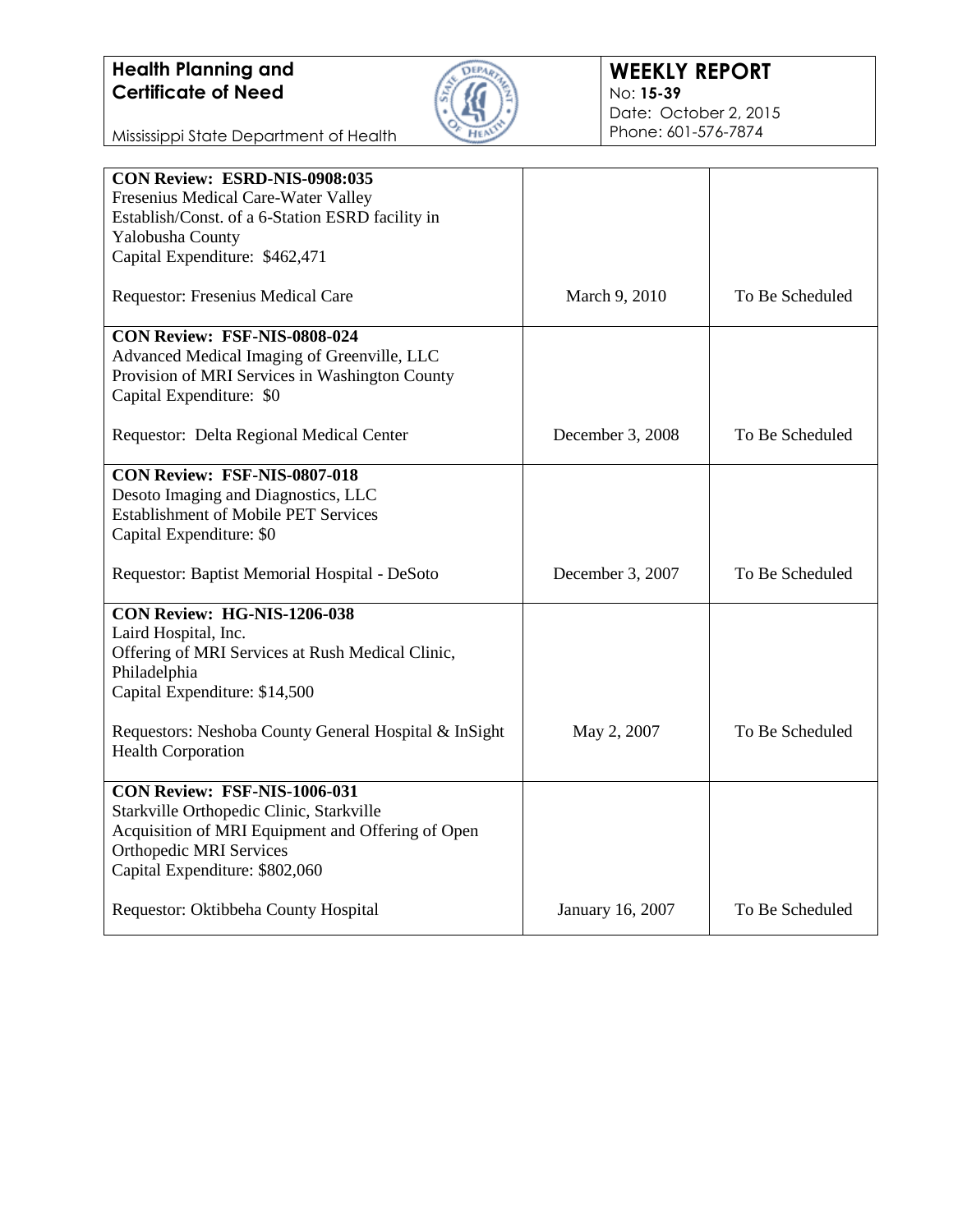

Mississippi State Department of Health

| CON Review: ESRD-NIS-0908:035                                                      |                  |                 |
|------------------------------------------------------------------------------------|------------------|-----------------|
| Fresenius Medical Care-Water Valley                                                |                  |                 |
| Establish/Const. of a 6-Station ESRD facility in                                   |                  |                 |
| Yalobusha County                                                                   |                  |                 |
| Capital Expenditure: \$462,471                                                     |                  |                 |
| Requestor: Fresenius Medical Care                                                  | March 9, 2010    | To Be Scheduled |
| CON Review: FSF-NIS-0808-024                                                       |                  |                 |
| Advanced Medical Imaging of Greenville, LLC                                        |                  |                 |
| Provision of MRI Services in Washington County                                     |                  |                 |
| Capital Expenditure: \$0                                                           |                  |                 |
| Requestor: Delta Regional Medical Center                                           | December 3, 2008 | To Be Scheduled |
| <b>CON Review: FSF-NIS-0807-018</b>                                                |                  |                 |
| Desoto Imaging and Diagnostics, LLC                                                |                  |                 |
| <b>Establishment of Mobile PET Services</b>                                        |                  |                 |
| Capital Expenditure: \$0                                                           |                  |                 |
|                                                                                    |                  |                 |
| Requestor: Baptist Memorial Hospital - DeSoto                                      | December 3, 2007 | To Be Scheduled |
| CON Review: HG-NIS-1206-038                                                        |                  |                 |
| Laird Hospital, Inc.                                                               |                  |                 |
| Offering of MRI Services at Rush Medical Clinic,                                   |                  |                 |
| Philadelphia                                                                       |                  |                 |
| Capital Expenditure: \$14,500                                                      |                  |                 |
|                                                                                    |                  | To Be Scheduled |
| Requestors: Neshoba County General Hospital & InSight<br><b>Health Corporation</b> | May 2, 2007      |                 |
|                                                                                    |                  |                 |
| CON Review: FSF-NIS-1006-031                                                       |                  |                 |
| Starkville Orthopedic Clinic, Starkville                                           |                  |                 |
| Acquisition of MRI Equipment and Offering of Open                                  |                  |                 |
| <b>Orthopedic MRI Services</b>                                                     |                  |                 |
| Capital Expenditure: \$802,060                                                     |                  |                 |
|                                                                                    |                  |                 |